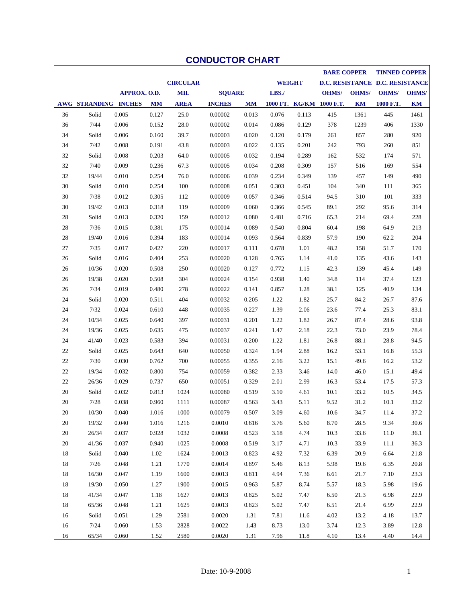|    |                      |              |           |                 |               |           |               |       | <b>BARE COPPER</b>       |              | <b>TINNED COPPER</b>            |              |
|----|----------------------|--------------|-----------|-----------------|---------------|-----------|---------------|-------|--------------------------|--------------|---------------------------------|--------------|
|    |                      |              |           | <b>CIRCULAR</b> |               |           | <b>WEIGHT</b> |       |                          |              | D.C. RESISTANCE D.C. RESISTANCE |              |
|    |                      | APPROX. O.D. |           | <b>MIL</b>      | <b>SQUARE</b> |           | LBS./         |       | <b>OHMS/</b>             | <b>OHMS/</b> | <b>OHMS/</b>                    | <b>OHMS/</b> |
|    | AWG STRANDING INCHES |              | <b>MM</b> | <b>AREA</b>     | <b>INCHES</b> | <b>MM</b> |               |       | 1000 FT. KG/KM 1000 F.T. | KM           | 1000 F.T.                       | KM           |
| 36 | Solid                | 0.005        | 0.127     | 25.0            | 0.00002       | 0.013     | 0.076         | 0.113 | 415                      | 1361         | 445                             | 1461         |
| 36 | 7/44                 | 0.006        | 0.152     | 28.0            | 0.00002       | 0.014     | 0.086         | 0.129 | 378                      | 1239         | 406                             | 1330         |
| 34 | Solid                | 0.006        | 0.160     | 39.7            | 0.00003       | 0.020     | 0.120         | 0.179 | 261                      | 857          | 280                             | 920          |
| 34 | 7/42                 | 0.008        | 0.191     | 43.8            | 0.00003       | 0.022     | 0.135         | 0.201 | 242                      | 793          | 260                             | 851          |
| 32 | Solid                | 0.008        | 0.203     | 64.0            | 0.00005       | 0.032     | 0.194         | 0.289 | 162                      | 532          | 174                             | 571          |
| 32 | 7/40                 | 0.009        | 0.236     | 67.3            | 0.00005       | 0.034     | 0.208         | 0.309 | 157                      | 516          | 169                             | 554          |
| 32 | 19/44                | 0.010        | 0.254     | 76.0            | 0.00006       | 0.039     | 0.234         | 0.349 | 139                      | 457          | 149                             | 490          |
| 30 | Solid                | 0.010        | 0.254     | 100             | 0.00008       | 0.051     | 0.303         | 0.451 | 104                      | 340          | 111                             | 365          |
| 30 | 7/38                 | 0.012        | 0.305     | 112             | 0.00009       | 0.057     | 0.346         | 0.514 | 94.5                     | 310          | 101                             | 333          |
| 30 | 19/42                | 0.013        | 0.318     | 119             | 0.00009       | 0.060     | 0.366         | 0.545 | 89.1                     | 292          | 95.6                            | 314          |
| 28 | Solid                | 0.013        | 0.320     | 159             | 0.00012       | 0.080     | 0.481         | 0.716 | 65.3                     | 214          | 69.4                            | 228          |
| 28 | 7/36                 | 0.015        | 0.381     | 175             | 0.00014       | 0.089     | 0.540         | 0.804 | 60.4                     | 198          | 64.9                            | 213          |
| 28 | 19/40                | 0.016        | 0.394     | 183             | 0.00014       | 0.093     | 0.564         | 0.839 | 57.9                     | 190          | 62.2                            | 204          |
| 27 | 7/35                 | 0.017        | 0.427     | 220             | 0.00017       | 0.111     | 0.678         | 1.01  | 48.2                     | 158          | 51.7                            | 170          |
| 26 | Solid                | 0.016        | 0.404     | 253             | 0.00020       | 0.128     | 0.765         | 1.14  | 41.0                     | 135          | 43.6                            | 143          |
| 26 | 10/36                | 0.020        | 0.508     | 250             | 0.00020       | 0.127     | 0.772         | 1.15  | 42.3                     | 139          | 45.4                            | 149          |
| 26 | 19/38                | 0.020        | 0.508     | 304             | 0.00024       | 0.154     | 0.938         | 1.40  | 34.8                     | 114          | 37.4                            | 123          |
| 26 | 7/34                 | 0.019        | 0.480     | 278             | 0.00022       | 0.141     | 0.857         | 1.28  | 38.1                     | 125          | 40.9                            | 134          |
| 24 | Solid                | 0.020        | 0.511     | 404             | 0.00032       | 0.205     | 1.22          | 1.82  | 25.7                     | 84.2         | 26.7                            | 87.6         |
| 24 | 7/32                 | 0.024        | 0.610     | 448             | 0.00035       | 0.227     | 1.39          | 2.06  | 23.6                     | 77.4         | 25.3                            | 83.1         |
| 24 | 10/34                | 0.025        | 0.640     | 397             | 0.00031       | 0.201     | 1.22          | 1.82  | 26.7                     | 87.4         | 28.6                            | 93.8         |
| 24 | 19/36                | 0.025        | 0.635     | 475             | 0.00037       | 0.241     | 1.47          | 2.18  | 22.3                     | 73.0         | 23.9                            | 78.4         |
| 24 | 41/40                | 0.023        | 0.583     | 394             | 0.00031       | 0.200     | 1.22          | 1.81  | 26.8                     | 88.1         | 28.8                            | 94.5         |
| 22 | Solid                | 0.025        | 0.643     | 640             | 0.00050       | 0.324     | 1.94          | 2.88  | 16.2                     | 53.1         | 16.8                            | 55.3         |
| 22 | 7/30                 | 0.030        | 0.762     | 700             | 0.00055       | 0.355     | 2.16          | 3.22  | 15.1                     | 49.6         | 16.2                            | 53.2         |
| 22 | 19/34                | 0.032        | 0.800     | 754             | 0.00059       | 0.382     | 2.33          | 3.46  | 14.0                     | 46.0         | 15.1                            | 49.4         |
| 22 | 26/36                | 0.029        | 0.737     | 650             | 0.00051       | 0.329     | 2.01          | 2.99  | 16.3                     | 53.4         | 17.5                            | 57.3         |
| 20 | Solid                | 0.032        | 0.813     | 1024            | 0.00080       | 0.519     | 3.10          | 4.61  | 10.1                     | 33.2         | 10.5                            | 34.5         |
| 20 | 7/28                 | 0.038        | 0.960     | 1111            | 0.00087       | 0.563     | 3.43          | 5.11  | 9.52                     | 31.2         | 10.1                            | 33.2         |
| 20 | 10/30                | 0.040        | 1.016     | 1000            | 0.00079       | 0.507     | 3.09          | 4.60  | 10.6                     | 34.7         | 11.4                            | 37.2         |
| 20 | 19/32                | 0.040        | 1.016     | 1216            | 0.0010        | 0.616     | 3.76          | 5.60  | 8.70                     | 28.5         | 9.34                            | 30.6         |
| 20 | 26/34                | 0.037        | 0.928     | 1032            | 0.0008        | 0.523     | 3.18          | 4.74  | 10.3                     | 33.6         | 11.0                            | 36.1         |
| 20 | 41/36                | 0.037        | 0.940     | 1025            | 0.0008        | 0.519     | 3.17          | 4.71  | 10.3                     | 33.9         | 11.1                            | 36.3         |
| 18 | Solid                | 0.040        | 1.02      | 1624            | 0.0013        | 0.823     | 4.92          | 7.32  | 6.39                     | 20.9         | 6.64                            | 21.8         |
| 18 | 7/26                 | 0.048        | 1.21      | 1770            | 0.0014        | 0.897     | 5.46          | 8.13  | 5.98                     | 19.6         | 6.35                            | 20.8         |
| 18 | 16/30                | 0.047        | 1.19      | 1600            | 0.0013        | 0.811     | 4.94          | 7.36  | 6.61                     | 21.7         | 7.10                            | 23.3         |
| 18 | 19/30                | 0.050        | 1.27      | 1900            | 0.0015        | 0.963     | 5.87          | 8.74  | 5.57                     | 18.3         | 5.98                            | 19.6         |
| 18 | 41/34                | 0.047        | 1.18      | 1627            | 0.0013        | 0.825     | 5.02          | 7.47  | 6.50                     | 21.3         | 6.98                            | 22.9         |
| 18 | 65/36                | 0.048        | 1.21      | 1625            | 0.0013        | 0.823     | 5.02          | 7.47  | 6.51                     | 21.4         | 6.99                            | 22.9         |
| 16 | Solid                | 0.051        | 1.29      | 2581            | 0.0020        | 1.31      | 7.81          | 11.6  | 4.02                     | 13.2         | 4.18                            | 13.7         |
| 16 | 7/24                 | 0.060        | 1.53      | 2828            | 0.0022        | 1.43      | 8.73          | 13.0  | 3.74                     | 12.3         | 3.89                            | 12.8         |
| 16 | 65/34                | 0.060        | 1.52      | 2580            | 0.0020        | 1.31      | 7.96          | 11.8  | 4.10                     | 13.4         | 4.40                            | 14.4         |

## **CONDUCTOR CHART**